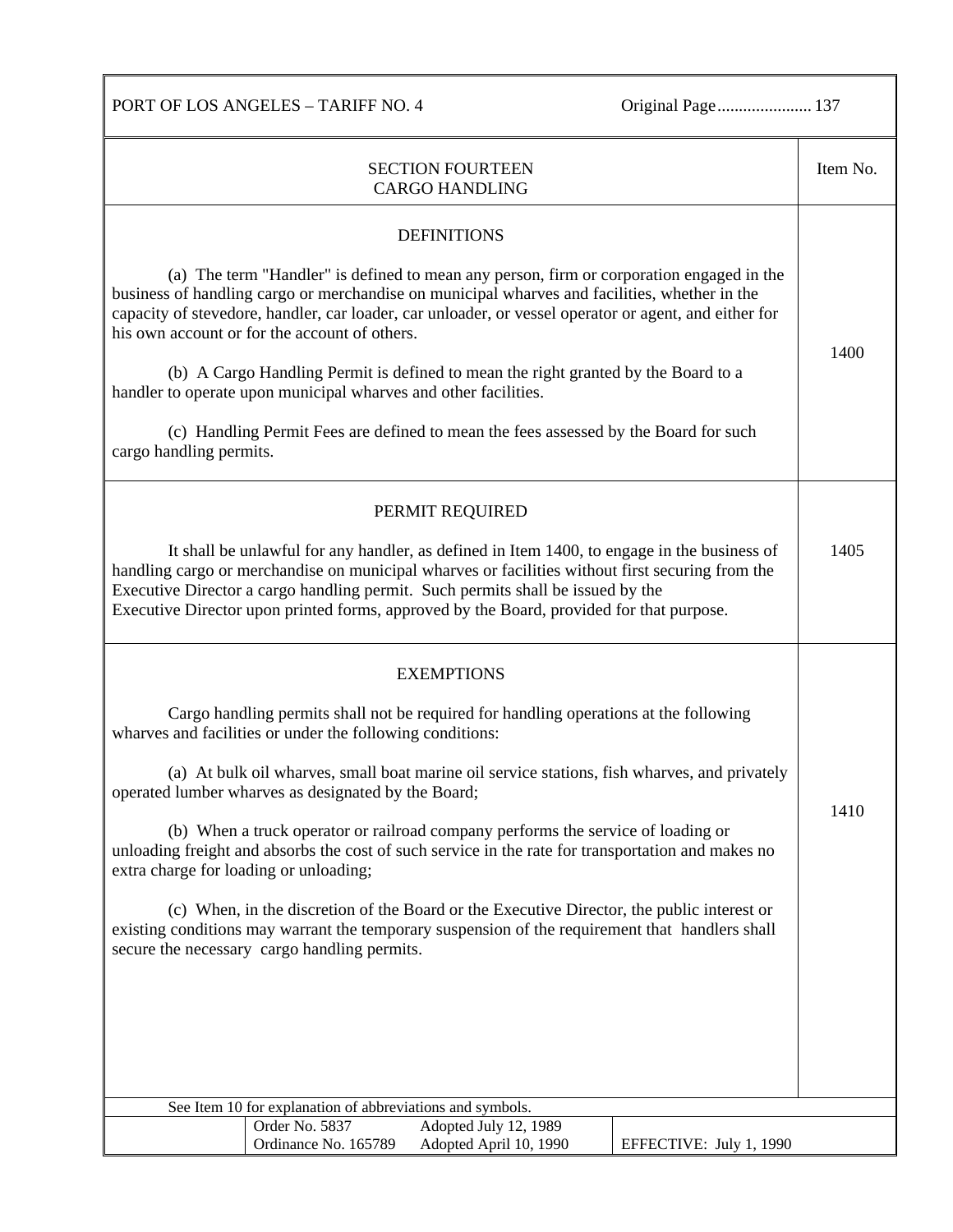PORT OF LOS ANGELES - TARIFF NO. 4 Original Page.......................... 137

| <b>SECTION FOURTEEN</b><br><b>CARGO HANDLING</b>                                                                                                                                                                                                                                                                                                                               |      |  |  |  |
|--------------------------------------------------------------------------------------------------------------------------------------------------------------------------------------------------------------------------------------------------------------------------------------------------------------------------------------------------------------------------------|------|--|--|--|
| <b>DEFINITIONS</b>                                                                                                                                                                                                                                                                                                                                                             |      |  |  |  |
| (a) The term "Handler" is defined to mean any person, firm or corporation engaged in the<br>business of handling cargo or merchandise on municipal wharves and facilities, whether in the<br>capacity of stevedore, handler, car loader, car unloader, or vessel operator or agent, and either for<br>his own account or for the account of others.                            | 1400 |  |  |  |
| (b) A Cargo Handling Permit is defined to mean the right granted by the Board to a<br>handler to operate upon municipal wharves and other facilities.                                                                                                                                                                                                                          |      |  |  |  |
| (c) Handling Permit Fees are defined to mean the fees assessed by the Board for such<br>cargo handling permits.                                                                                                                                                                                                                                                                |      |  |  |  |
| PERMIT REQUIRED                                                                                                                                                                                                                                                                                                                                                                |      |  |  |  |
| It shall be unlawful for any handler, as defined in Item 1400, to engage in the business of<br>handling cargo or merchandise on municipal wharves or facilities without first securing from the<br>Executive Director a cargo handling permit. Such permits shall be issued by the<br>Executive Director upon printed forms, approved by the Board, provided for that purpose. |      |  |  |  |
| <b>EXEMPTIONS</b>                                                                                                                                                                                                                                                                                                                                                              |      |  |  |  |
| Cargo handling permits shall not be required for handling operations at the following<br>wharves and facilities or under the following conditions:                                                                                                                                                                                                                             |      |  |  |  |
| (a) At bulk oil wharves, small boat marine oil service stations, fish wharves, and privately<br>operated lumber wharves as designated by the Board;                                                                                                                                                                                                                            |      |  |  |  |
| (b) When a truck operator or railroad company performs the service of loading or<br>unloading freight and absorbs the cost of such service in the rate for transportation and makes no<br>extra charge for loading or unloading;                                                                                                                                               |      |  |  |  |
| (c) When, in the discretion of the Board or the Executive Director, the public interest or<br>existing conditions may warrant the temporary suspension of the requirement that handlers shall<br>secure the necessary cargo handling permits.                                                                                                                                  |      |  |  |  |
|                                                                                                                                                                                                                                                                                                                                                                                |      |  |  |  |
|                                                                                                                                                                                                                                                                                                                                                                                |      |  |  |  |
|                                                                                                                                                                                                                                                                                                                                                                                |      |  |  |  |
| See Item 10 for explanation of abbreviations and symbols.<br>Order No. 5837<br>Adopted July 12, 1989                                                                                                                                                                                                                                                                           |      |  |  |  |
| Ordinance No. 165789<br>Adopted April 10, 1990<br>EFFECTIVE: July 1, 1990                                                                                                                                                                                                                                                                                                      |      |  |  |  |